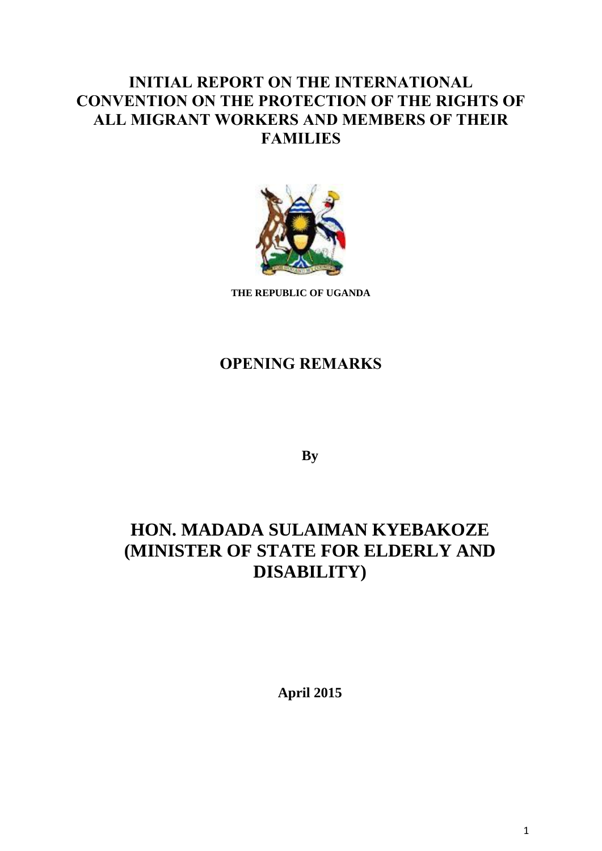# **INITIAL REPORT ON THE INTERNATIONAL CONVENTION ON THE PROTECTION OF THE RIGHTS OF ALL MIGRANT WORKERS AND MEMBERS OF THEIR FAMILIES**



**THE REPUBLIC OF UGANDA**

## **OPENING REMARKS**

**By**

# **HON. MADADA SULAIMAN KYEBAKOZE (MINISTER OF STATE FOR ELDERLY AND DISABILITY)**

**April 2015**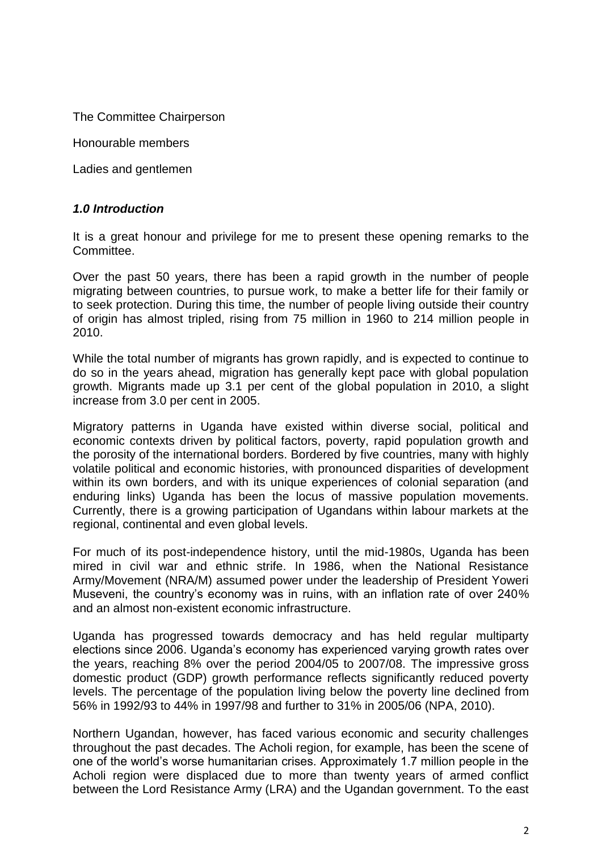The Committee Chairperson

Honourable members

Ladies and gentlemen

#### *1.0 Introduction*

It is a great honour and privilege for me to present these opening remarks to the Committee.

Over the past 50 years, there has been a rapid growth in the number of people migrating between countries, to pursue work, to make a better life for their family or to seek protection. During this time, the number of people living outside their country of origin has almost tripled, rising from 75 million in 1960 to 214 million people in 2010.

While the total number of migrants has grown rapidly, and is expected to continue to do so in the years ahead, migration has generally kept pace with global population growth. Migrants made up 3.1 per cent of the global population in 2010, a slight increase from 3.0 per cent in 2005.

Migratory patterns in Uganda have existed within diverse social, political and economic contexts driven by political factors, poverty, rapid population growth and the porosity of the international borders. Bordered by five countries, many with highly volatile political and economic histories, with pronounced disparities of development within its own borders, and with its unique experiences of colonial separation (and enduring links) Uganda has been the locus of massive population movements. Currently, there is a growing participation of Ugandans within labour markets at the regional, continental and even global levels.

For much of its post-independence history, until the mid-1980s, Uganda has been mired in civil war and ethnic strife. In 1986, when the National Resistance Army/Movement (NRA/M) assumed power under the leadership of President Yoweri Museveni, the country's economy was in ruins, with an inflation rate of over 240% and an almost non-existent economic infrastructure.

Uganda has progressed towards democracy and has held regular multiparty elections since 2006. Uganda's economy has experienced varying growth rates over the years, reaching 8% over the period 2004/05 to 2007/08. The impressive gross domestic product (GDP) growth performance reflects significantly reduced poverty levels. The percentage of the population living below the poverty line declined from 56% in 1992/93 to 44% in 1997/98 and further to 31% in 2005/06 (NPA, 2010).

Northern Ugandan, however, has faced various economic and security challenges throughout the past decades. The Acholi region, for example, has been the scene of one of the world's worse humanitarian crises. Approximately 1.7 million people in the Acholi region were displaced due to more than twenty years of armed conflict between the Lord Resistance Army (LRA) and the Ugandan government. To the east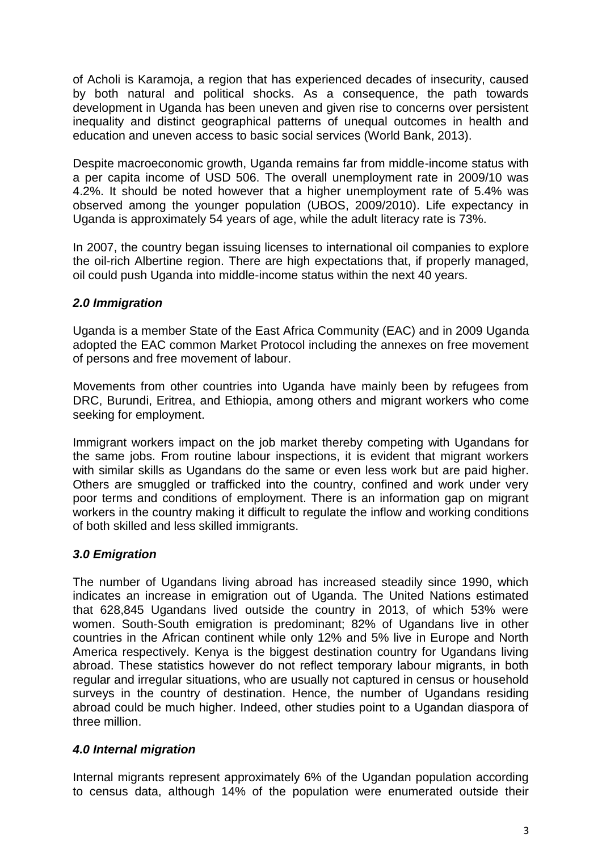of Acholi is Karamoja, a region that has experienced decades of insecurity, caused by both natural and political shocks. As a consequence, the path towards development in Uganda has been uneven and given rise to concerns over persistent inequality and distinct geographical patterns of unequal outcomes in health and education and uneven access to basic social services (World Bank, 2013).

Despite macroeconomic growth, Uganda remains far from middle-income status with a per capita income of USD 506. The overall unemployment rate in 2009/10 was 4.2%. It should be noted however that a higher unemployment rate of 5.4% was observed among the younger population (UBOS, 2009/2010). Life expectancy in Uganda is approximately 54 years of age, while the adult literacy rate is 73%.

In 2007, the country began issuing licenses to international oil companies to explore the oil-rich Albertine region. There are high expectations that, if properly managed, oil could push Uganda into middle-income status within the next 40 years.

#### *2.0 Immigration*

Uganda is a member State of the East Africa Community (EAC) and in 2009 Uganda adopted the EAC common Market Protocol including the annexes on free movement of persons and free movement of labour.

Movements from other countries into Uganda have mainly been by refugees from DRC, Burundi, Eritrea, and Ethiopia, among others and migrant workers who come seeking for employment.

Immigrant workers impact on the job market thereby competing with Ugandans for the same jobs. From routine labour inspections, it is evident that migrant workers with similar skills as Ugandans do the same or even less work but are paid higher. Others are smuggled or trafficked into the country, confined and work under very poor terms and conditions of employment. There is an information gap on migrant workers in the country making it difficult to regulate the inflow and working conditions of both skilled and less skilled immigrants.

#### *3.0 Emigration*

The number of Ugandans living abroad has increased steadily since 1990, which indicates an increase in emigration out of Uganda. The United Nations estimated that 628,845 Ugandans lived outside the country in 2013, of which 53% were women. South-South emigration is predominant; 82% of Ugandans live in other countries in the African continent while only 12% and 5% live in Europe and North America respectively. Kenya is the biggest destination country for Ugandans living abroad. These statistics however do not reflect temporary labour migrants, in both regular and irregular situations, who are usually not captured in census or household surveys in the country of destination. Hence, the number of Ugandans residing abroad could be much higher. Indeed, other studies point to a Ugandan diaspora of three million.

## *4.0 Internal migration*

Internal migrants represent approximately 6% of the Ugandan population according to census data, although 14% of the population were enumerated outside their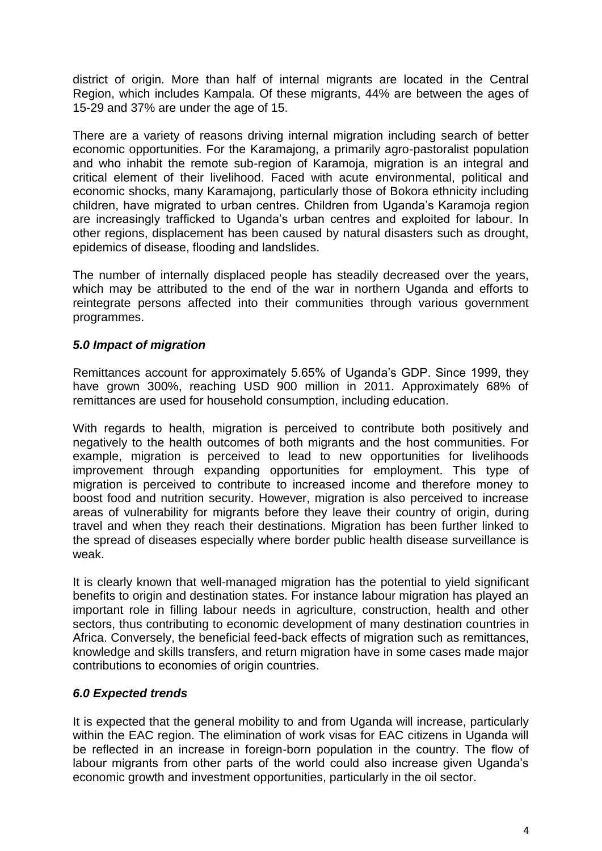district of origin. More than half of internal migrants are located in the Central Region, which includes Kampala. Of these migrants, 44% are between the ages of 15-29 and 37% are under the age of 15.

There are a variety of reasons driving internal migration including search of better economic opportunities. For the Karamajong, a primarily agro-pastoralist population and who inhabit the remote sub-region of Karamoja, migration is an integral and critical element of their livelihood. Faced with acute environmental, political and economic shocks, many Karamajong, particularly those of Bokora ethnicity including children, have migrated to urban centres. Children from Uganda's Karamoja region are increasingly trafficked to Uganda's urban centres and exploited for labour. In other regions, displacement has been caused by natural disasters such as drought, epidemics of disease, flooding and landslides.

The number of internally displaced people has steadily decreased over the years, which may be attributed to the end of the war in northern Uganda and efforts to reintegrate persons affected into their communities through various government programmes.

#### *5.0 Impact of migration*

Remittances account for approximately 5.65% of Uganda's GDP. Since 1999, they have grown 300%, reaching USD 900 million in 2011. Approximately 68% of remittances are used for household consumption, including education.

With regards to health, migration is perceived to contribute both positively and negatively to the health outcomes of both migrants and the host communities. For example, migration is perceived to lead to new opportunities for livelihoods improvement through expanding opportunities for employment. This type of migration is perceived to contribute to increased income and therefore money to boost food and nutrition security. However, migration is also perceived to increase areas of vulnerability for migrants before they leave their country of origin, during travel and when they reach their destinations. Migration has been further linked to the spread of diseases especially where border public health disease surveillance is weak.

It is clearly known that well-managed migration has the potential to yield significant benefits to origin and destination states. For instance labour migration has played an important role in filling labour needs in agriculture, construction, health and other sectors, thus contributing to economic development of many destination countries in Africa. Conversely, the beneficial feed-back effects of migration such as remittances, knowledge and skills transfers, and return migration have in some cases made major contributions to economies of origin countries.

#### *6.0 Expected trends*

It is expected that the general mobility to and from Uganda will increase, particularly within the EAC region. The elimination of work visas for EAC citizens in Uganda will be reflected in an increase in foreign-born population in the country. The flow of labour migrants from other parts of the world could also increase given Uganda's economic growth and investment opportunities, particularly in the oil sector.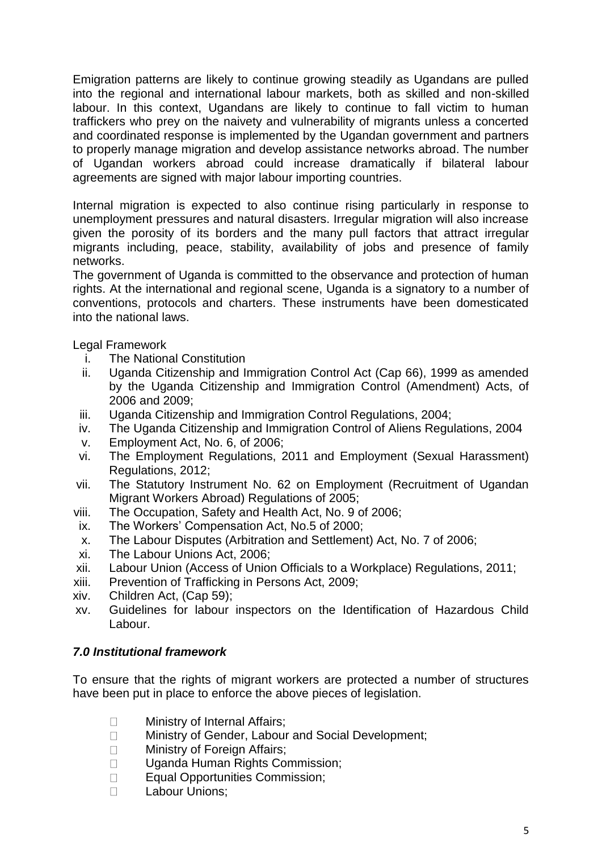Emigration patterns are likely to continue growing steadily as Ugandans are pulled into the regional and international labour markets, both as skilled and non-skilled labour. In this context, Ugandans are likely to continue to fall victim to human traffickers who prey on the naivety and vulnerability of migrants unless a concerted and coordinated response is implemented by the Ugandan government and partners to properly manage migration and develop assistance networks abroad. The number of Ugandan workers abroad could increase dramatically if bilateral labour agreements are signed with major labour importing countries.

Internal migration is expected to also continue rising particularly in response to unemployment pressures and natural disasters. Irregular migration will also increase given the porosity of its borders and the many pull factors that attract irregular migrants including, peace, stability, availability of jobs and presence of family networks.

The government of Uganda is committed to the observance and protection of human rights. At the international and regional scene, Uganda is a signatory to a number of conventions, protocols and charters. These instruments have been domesticated into the national laws.

Legal Framework

- i. The National Constitution
- ii. Uganda Citizenship and Immigration Control Act (Cap 66), 1999 as amended by the Uganda Citizenship and Immigration Control (Amendment) Acts, of 2006 and 2009;
- iii. Uganda Citizenship and Immigration Control Regulations, 2004;
- iv. The Uganda Citizenship and Immigration Control of Aliens Regulations, 2004
- v. Employment Act, No. 6, of 2006;
- vi. The Employment Regulations, 2011 and Employment (Sexual Harassment) Regulations, 2012;
- vii. The Statutory Instrument No. 62 on Employment (Recruitment of Ugandan Migrant Workers Abroad) Regulations of 2005;
- viii. The Occupation, Safety and Health Act, No. 9 of 2006;
- ix. The Workers' Compensation Act, No.5 of 2000;
- x. The Labour Disputes (Arbitration and Settlement) Act, No. 7 of 2006;
- xi. The Labour Unions Act, 2006;
- xii. Labour Union (Access of Union Officials to a Workplace) Regulations, 2011;
- xiii. Prevention of Trafficking in Persons Act, 2009;
- xiv. Children Act, (Cap 59);
- xv. Guidelines for labour inspectors on the Identification of Hazardous Child Labour.

#### *7.0 Institutional framework*

To ensure that the rights of migrant workers are protected a number of structures have been put in place to enforce the above pieces of legislation.

- Ministry of Internal Affairs;  $\Box$
- $\Box$ Ministry of Gender, Labour and Social Development;
- $\Box$ Ministry of Foreign Affairs:
- Uganda Human Rights Commission;  $\Box$
- Equal Opportunities Commission;  $\Box$
- Labour Unions; $\Box$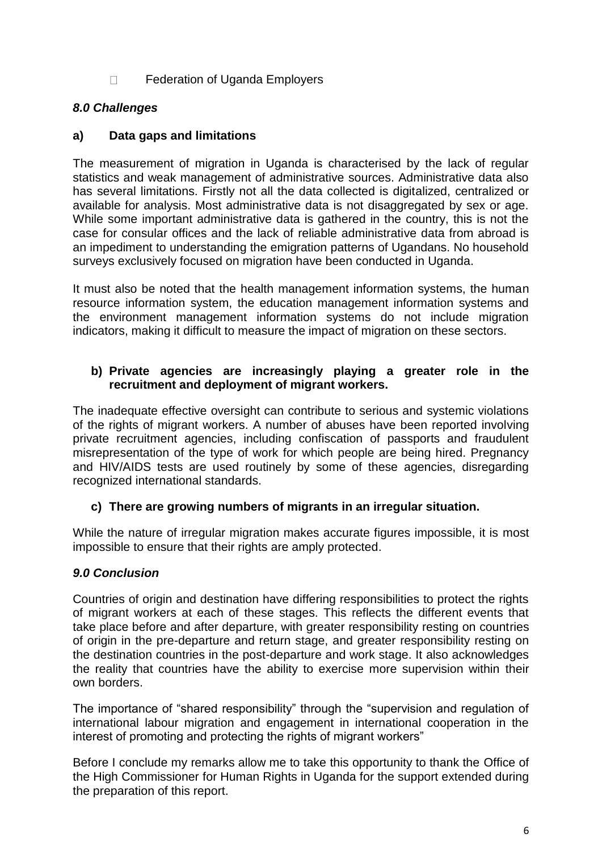$\Box$ Federation of Uganda Employers

### *8.0 Challenges*

#### **a) Data gaps and limitations**

The measurement of migration in Uganda is characterised by the lack of regular statistics and weak management of administrative sources. Administrative data also has several limitations. Firstly not all the data collected is digitalized, centralized or available for analysis. Most administrative data is not disaggregated by sex or age. While some important administrative data is gathered in the country, this is not the case for consular offices and the lack of reliable administrative data from abroad is an impediment to understanding the emigration patterns of Ugandans. No household surveys exclusively focused on migration have been conducted in Uganda.

It must also be noted that the health management information systems, the human resource information system, the education management information systems and the environment management information systems do not include migration indicators, making it difficult to measure the impact of migration on these sectors.

#### **b) Private agencies are increasingly playing a greater role in the recruitment and deployment of migrant workers.**

The inadequate effective oversight can contribute to serious and systemic violations of the rights of migrant workers. A number of abuses have been reported involving private recruitment agencies, including confiscation of passports and fraudulent misrepresentation of the type of work for which people are being hired. Pregnancy and HIV/AIDS tests are used routinely by some of these agencies, disregarding recognized international standards.

#### **c) There are growing numbers of migrants in an irregular situation.**

While the nature of irregular migration makes accurate figures impossible, it is most impossible to ensure that their rights are amply protected.

#### *9.0 Conclusion*

Countries of origin and destination have differing responsibilities to protect the rights of migrant workers at each of these stages. This reflects the different events that take place before and after departure, with greater responsibility resting on countries of origin in the pre-departure and return stage, and greater responsibility resting on the destination countries in the post-departure and work stage. It also acknowledges the reality that countries have the ability to exercise more supervision within their own borders.

The importance of "shared responsibility" through the "supervision and regulation of international labour migration and engagement in international cooperation in the interest of promoting and protecting the rights of migrant workers"

Before I conclude my remarks allow me to take this opportunity to thank the Office of the High Commissioner for Human Rights in Uganda for the support extended during the preparation of this report.